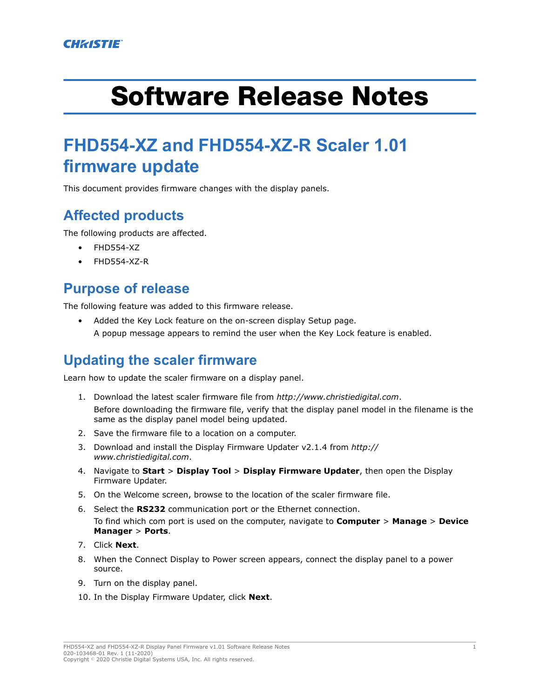# Software Release Notes

# **FHD554-XZ and FHD554-XZ-R Scaler 1.01 firmware update**

This document provides firmware changes with the display panels.

## **Affected products**

The following products are affected.

- FHD554-XZ
- FHD554-XZ-R

#### **Purpose of release**

The following feature was added to this firmware release.

• Added the Key Lock feature on the on-screen display Setup page. A popup message appears to remind the user when the Key Lock feature is enabled.

## **Updating the scaler firmware**

Learn how to update the scaler firmware on a display panel.

- 1. Download the latest scaler firmware file from *<http://www.christiedigital.com>*. Before downloading the firmware file, verify that the display panel model in the filename is the same as the display panel model being updated.
- 2. Save the firmware file to a location on a computer.
- 3. Download and install the Display Firmware Updater v2.1.4 from *[http://](http://www.christiedigital.com) [www.christiedigital.com](http://www.christiedigital.com)*.
- 4. Navigate to **Start** > **Display Tool** > **Display Firmware Updater**, then open the Display Firmware Updater.
- 5. On the Welcome screen, browse to the location of the scaler firmware file.
- 6. Select the **RS232** communication port or the Ethernet connection. To find which com port is used on the computer, navigate to **Computer** > **Manage** > **Device Manager** > **Ports**.
- 7. Click **Next**.
- 8. When the Connect Display to Power screen appears, connect the display panel to a power source.
- 9. Turn on the display panel.
- 10. In the Display Firmware Updater, click **Next**.